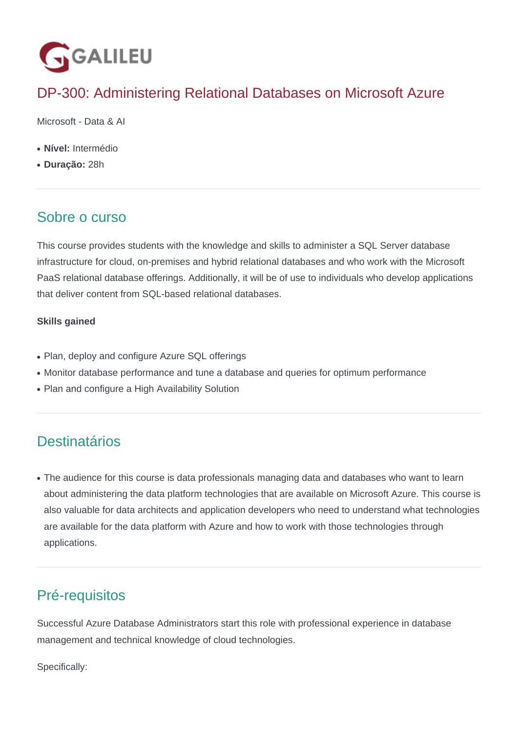

# DP-300: Administering Relational Databases on Microsoft Azure

Microsoft - Data & AI

- **Nível:** Intermédio
- **Duração:** 28h

## Sobre o curso

This course provides students with the knowledge and skills to administer a SQL Server database infrastructure for cloud, on-premises and hybrid relational databases and who work with the Microsoft PaaS relational database offerings. Additionally, it will be of use to individuals who develop applications that deliver content from SQL-based relational databases.

### **Skills gained**

- Plan, deploy and configure Azure SQL offerings
- Monitor database performance and tune a database and queries for optimum performance
- Plan and configure a High Availability Solution

# **Destinatários**

• The audience for this course is data professionals managing data and databases who want to learn about administering the data platform technologies that are available on Microsoft Azure. This course is also valuable for data architects and application developers who need to understand what technologies are available for the data platform with Azure and how to work with those technologies through applications.

# Pré-requisitos

Successful Azure Database Administrators start this role with professional experience in database management and technical knowledge of cloud technologies.

Specifically: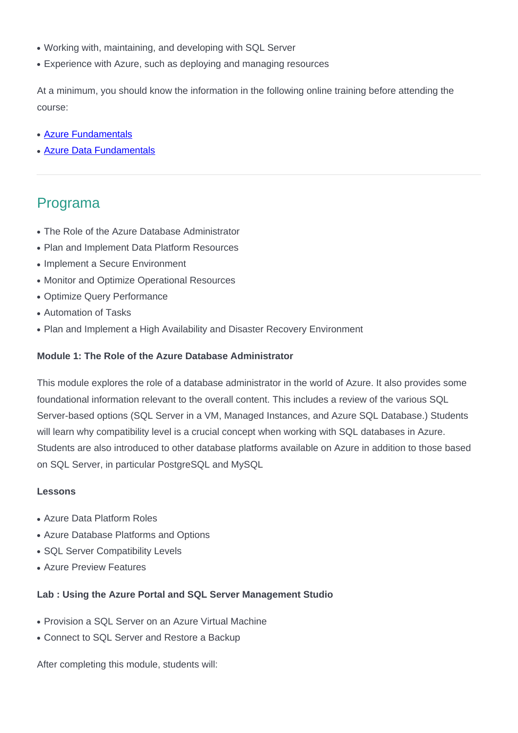- Working with, maintaining, and developing with SQL Server
- Experience with Azure, such as deploying and managing resources

At a minimum, you should know the information in the following online training before attending the course:

- [Azure Fundamentals](https://www.galileu.pt/curso/az-900-microsoft-azure-fundamentals/)
- [Azure Data Fundamentals](https://www.galileu.pt/curso/dp-900-microsoft-azure-data-fundamentals/)

## Programa

- The Role of the Azure Database Administrator
- Plan and Implement Data Platform Resources
- Implement a Secure Environment
- Monitor and Optimize Operational Resources
- Optimize Query Performance
- Automation of Tasks
- Plan and Implement a High Availability and Disaster Recovery Environment

#### **Module 1: The Role of the Azure Database Administrator**

This module explores the role of a database administrator in the world of Azure. It also provides some foundational information relevant to the overall content. This includes a review of the various SQL Server-based options (SQL Server in a VM, Managed Instances, and Azure SQL Database.) Students will learn why compatibility level is a crucial concept when working with SQL databases in Azure. Students are also introduced to other database platforms available on Azure in addition to those based on SQL Server, in particular PostgreSQL and MySQL

#### **Lessons**

- Azure Data Platform Roles
- Azure Database Platforms and Options
- SQL Server Compatibility Levels
- Azure Preview Features

#### **Lab : Using the Azure Portal and SQL Server Management Studio**

- Provision a SQL Server on an Azure Virtual Machine
- Connect to SQL Server and Restore a Backup

After completing this module, students will: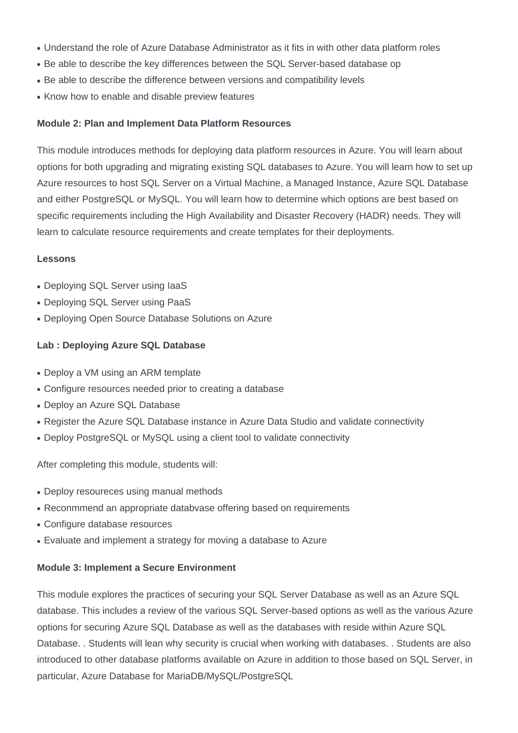- Understand the role of Azure Database Administrator as it fits in with other data platform roles
- Be able to describe the key differences between the SQL Server-based database op
- Be able to describe the difference between versions and compatibility levels
- Know how to enable and disable preview features

#### **Module 2: Plan and Implement Data Platform Resources**

This module introduces methods for deploying data platform resources in Azure. You will learn about options for both upgrading and migrating existing SQL databases to Azure. You will learn how to set up Azure resources to host SQL Server on a Virtual Machine, a Managed Instance, Azure SQL Database and either PostgreSQL or MySQL. You will learn how to determine which options are best based on specific requirements including the High Availability and Disaster Recovery (HADR) needs. They will learn to calculate resource requirements and create templates for their deployments.

### **Lessons**

- Deploying SQL Server using laaS
- Deploying SQL Server using PaaS
- Deploying Open Source Database Solutions on Azure

### **Lab : Deploying Azure SQL Database**

- Deploy a VM using an ARM template
- Configure resources needed prior to creating a database
- Deploy an Azure SQL Database
- Register the Azure SQL Database instance in Azure Data Studio and validate connectivity
- Deploy PostgreSQL or MySQL using a client tool to validate connectivity

After completing this module, students will:

- Deploy resoureces using manual methods
- Reconmmend an appropriate databvase offering based on requirements
- Configure database resources
- Evaluate and implement a strategy for moving a database to Azure

### **Module 3: Implement a Secure Environment**

This module explores the practices of securing your SQL Server Database as well as an Azure SQL database. This includes a review of the various SQL Server-based options as well as the various Azure options for securing Azure SQL Database as well as the databases with reside within Azure SQL Database. . Students will lean why security is crucial when working with databases. . Students are also introduced to other database platforms available on Azure in addition to those based on SQL Server, in particular, Azure Database for MariaDB/MySQL/PostgreSQL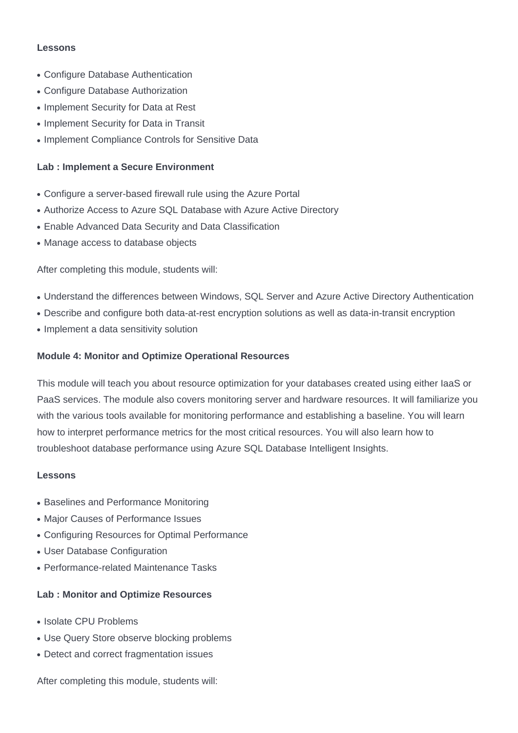#### **Lessons**

- Configure Database Authentication
- Configure Database Authorization
- Implement Security for Data at Rest
- Implement Security for Data in Transit
- Implement Compliance Controls for Sensitive Data

### **Lab : Implement a Secure Environment**

- Configure a server-based firewall rule using the Azure Portal
- Authorize Access to Azure SQL Database with Azure Active Directory
- Enable Advanced Data Security and Data Classification
- Manage access to database objects

After completing this module, students will:

- Understand the differences between Windows, SQL Server and Azure Active Directory Authentication
- Describe and configure both data-at-rest encryption solutions as well as data-in-transit encryption
- Implement a data sensitivity solution

### **Module 4: Monitor and Optimize Operational Resources**

This module will teach you about resource optimization for your databases created using either IaaS or PaaS services. The module also covers monitoring server and hardware resources. It will familiarize you with the various tools available for monitoring performance and establishing a baseline. You will learn how to interpret performance metrics for the most critical resources. You will also learn how to troubleshoot database performance using Azure SQL Database Intelligent Insights.

#### **Lessons**

- Baselines and Performance Monitoring
- Major Causes of Performance Issues
- Configuring Resources for Optimal Performance
- User Database Configuration
- Performance-related Maintenance Tasks

### **Lab : Monitor and Optimize Resources**

- Isolate CPU Problems
- Use Query Store observe blocking problems
- Detect and correct fragmentation issues

After completing this module, students will: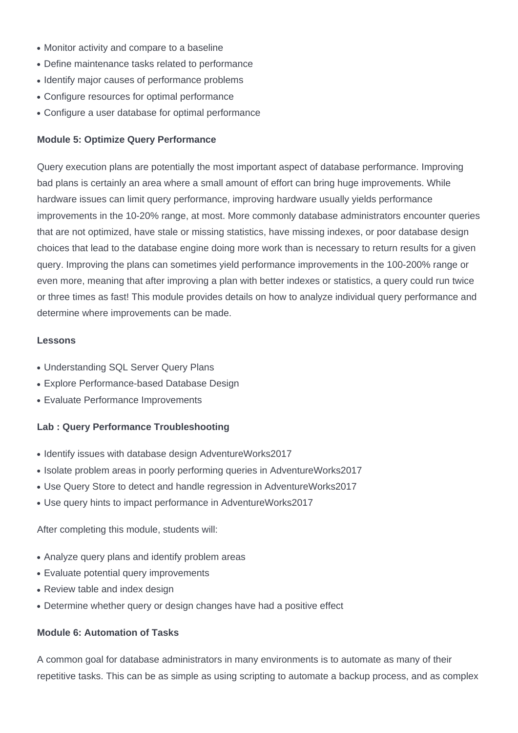- Monitor activity and compare to a baseline
- Define maintenance tasks related to performance
- Identify major causes of performance problems
- Configure resources for optimal performance
- Configure a user database for optimal performance

#### **Module 5: Optimize Query Performance**

Query execution plans are potentially the most important aspect of database performance. Improving bad plans is certainly an area where a small amount of effort can bring huge improvements. While hardware issues can limit query performance, improving hardware usually yields performance improvements in the 10-20% range, at most. More commonly database administrators encounter queries that are not optimized, have stale or missing statistics, have missing indexes, or poor database design choices that lead to the database engine doing more work than is necessary to return results for a given query. Improving the plans can sometimes yield performance improvements in the 100-200% range or even more, meaning that after improving a plan with better indexes or statistics, a query could run twice or three times as fast! This module provides details on how to analyze individual query performance and determine where improvements can be made.

#### **Lessons**

- Understanding SQL Server Query Plans
- Explore Performance-based Database Design
- Evaluate Performance Improvements

### **Lab : Query Performance Troubleshooting**

- Identify issues with database design AdventureWorks2017
- Isolate problem areas in poorly performing queries in AdventureWorks2017
- Use Query Store to detect and handle regression in AdventureWorks2017
- Use query hints to impact performance in AdventureWorks2017

After completing this module, students will:

- Analyze query plans and identify problem areas
- Evaluate potential query improvements
- Review table and index design
- Determine whether query or design changes have had a positive effect

#### **Module 6: Automation of Tasks**

A common goal for database administrators in many environments is to automate as many of their repetitive tasks. This can be as simple as using scripting to automate a backup process, and as complex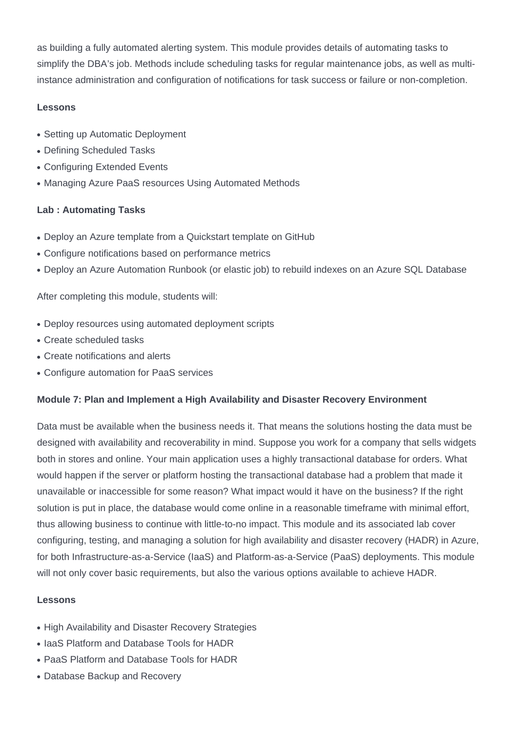as building a fully automated alerting system. This module provides details of automating tasks to simplify the DBA's job. Methods include scheduling tasks for regular maintenance jobs, as well as multiinstance administration and configuration of notifications for task success or failure or non-completion.

## **Lessons**

- Setting up Automatic Deployment
- Defining Scheduled Tasks
- Configuring Extended Events
- Managing Azure PaaS resources Using Automated Methods

## **Lab : Automating Tasks**

- Deploy an Azure template from a Quickstart template on GitHub
- Configure notifications based on performance metrics
- Deploy an Azure Automation Runbook (or elastic job) to rebuild indexes on an Azure SQL Database

After completing this module, students will:

- Deploy resources using automated deployment scripts
- Create scheduled tasks
- Create notifications and alerts
- Configure automation for PaaS services

## **Module 7: Plan and Implement a High Availability and Disaster Recovery Environment**

Data must be available when the business needs it. That means the solutions hosting the data must be designed with availability and recoverability in mind. Suppose you work for a company that sells widgets both in stores and online. Your main application uses a highly transactional database for orders. What would happen if the server or platform hosting the transactional database had a problem that made it unavailable or inaccessible for some reason? What impact would it have on the business? If the right solution is put in place, the database would come online in a reasonable timeframe with minimal effort, thus allowing business to continue with little-to-no impact. This module and its associated lab cover configuring, testing, and managing a solution for high availability and disaster recovery (HADR) in Azure, for both Infrastructure-as-a-Service (IaaS) and Platform-as-a-Service (PaaS) deployments. This module will not only cover basic requirements, but also the various options available to achieve HADR.

## **Lessons**

- High Availability and Disaster Recovery Strategies
- IaaS Platform and Database Tools for HADR
- PaaS Platform and Database Tools for HADR
- Database Backup and Recovery